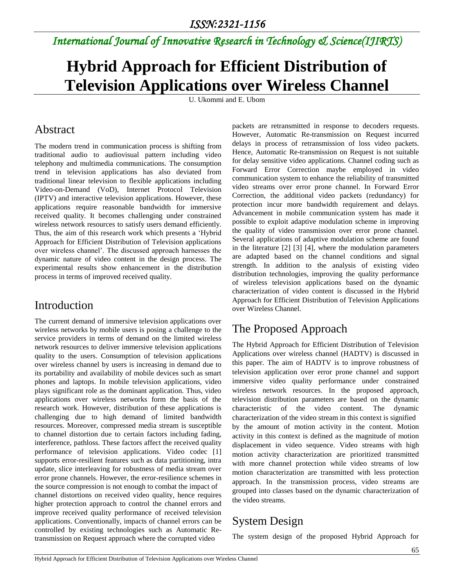*International Journal of Innovative Research in Technology & Science(IJIRTS)*

# **Hybrid Approach for Efficient Distribution of Television Applications over Wireless Channel**

U. Ukommi and E. Ubom

#### Abstract

The modern trend in communication process is shifting from traditional audio to audiovisual pattern including video telephony and multimedia communications. The consumption trend in television applications has also deviated from traditional linear television to flexible applications including Video-on-Demand (VoD), Internet Protocol Television (IPTV) and interactive television applications. However, these applications require reasonable bandwidth for immersive received quality. It becomes challenging under constrained wireless network resources to satisfy users demand efficiently. Thus, the aim of this research work which presents a 'Hybrid Approach for Efficient Distribution of Television applications over wireless channel'. The discussed approach harnesses the dynamic nature of video content in the design process. The experimental results show enhancement in the distribution process in terms of improved received quality.

## Introduction

The current demand of immersive television applications over wireless networks by mobile users is posing a challenge to the service providers in terms of demand on the limited wireless network resources to deliver immersive television applications quality to the users. Consumption of television applications over wireless channel by users is increasing in demand due to its portability and availability of mobile devices such as smart phones and laptops. In mobile television applications, video plays significant role as the dominant application. Thus, video applications over wireless networks form the basis of the research work. However, distribution of these applications is challenging due to high demand of limited bandwidth resources. Moreover, compressed media stream is susceptible to channel distortion due to certain factors including fading, interference, pathloss. These factors affect the received quality performance of television applications. Video codec [1] supports error-resilient features such as data partitioning, intra update, slice interleaving for robustness of media stream over error prone channels. However, the error-resilience schemes in the source compression is not enough to combat the impact of channel distortions on received video quality, hence requires higher protection approach to control the channel errors and improve received quality performance of received television applications. Conventionally, impacts of channel errors can be controlled by existing technologies such as Automatic Retransmission on Request approach where the corrupted video

packets are retransmitted in response to decoders requests. However, Automatic Re-transmission on Request incurred delays in process of retransmission of loss video packets. Hence, Automatic Re-transmission on Request is not suitable for delay sensitive video applications. Channel coding such as Forward Error Correction maybe employed in video communication system to enhance the reliability of transmitted video streams over error prone channel. In Forward Error Correction, the additional video packets (redundancy) for protection incur more bandwidth requirement and delays. Advancement in mobile communication system has made it possible to exploit adaptive modulation scheme in improving the quality of video transmission over error prone channel. Several applications of adaptive modulation scheme are found in the literature [2] [\[3\]](#page-3-0) [4], where the modulation parameters are adapted based on the channel conditions and signal strength. In addition to the analysis of existing video distribution technologies, improving the quality performance of wireless television applications based on the dynamic characterization of video content is discussed in the Hybrid Approach for Efficient Distribution of Television Applications over Wireless Channel.

# The Proposed Approach

The Hybrid Approach for Efficient Distribution of Television Applications over wireless channel (HADTV) is discussed in this paper. The aim of HADTV is to improve robustness of television application over error prone channel and support immersive video quality performance under constrained wireless network resources. In the proposed approach, television distribution parameters are based on the dynamic characteristic of the video content. The dynamic characterization of the video stream in this context is signified by the amount of motion activity in the content. Motion activity in this context is defined as the magnitude of motion displacement in video sequence. Video streams with high motion activity characterization are prioritized transmitted with more channel protection while video streams of low motion characterization are transmitted with less protection approach. In the transmission process, video streams are grouped into classes based on the dynamic characterization of the video streams.

# System Design

The system design of the proposed Hybrid Approach for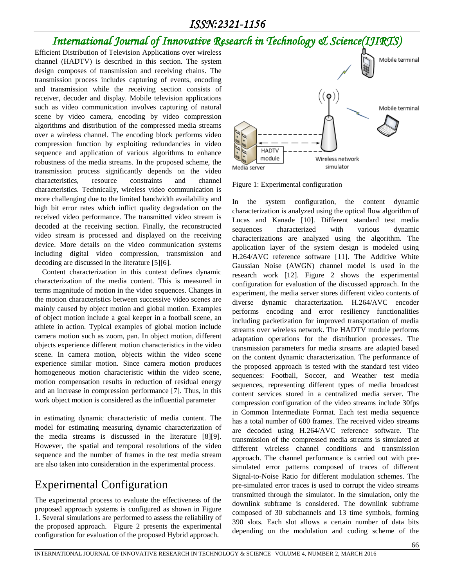#### *ISSN:2321-1156*

# *International Journal of Innovative Research in Technology & Science(IJIRTS)*

Efficient Distribution of Television Applications over wireless channel (HADTV) is described in this section. The system design composes of transmission and receiving chains. The transmission process includes capturing of events, encoding and transmission while the receiving section consists of receiver, decoder and display. Mobile television applications such as video communication involves capturing of natural scene by video camera, encoding by video compression algorithms and distribution of the compressed media streams over a wireless channel. The encoding block performs video compression function by exploiting redundancies in video sequence and application of various algorithms to enhance robustness of the media streams. In the proposed scheme, the transmission process significantly depends on the video characteristics, resource constraints and channel characteristics. Technically, wireless video communication is more challenging due to the limited bandwidth availability and high bit error rates which inflict quality degradation on the received video performance. The transmitted video stream is decoded at the receiving section. Finally, the reconstructed video stream is processed and displayed on the receiving device. More details on the video communication systems including digital video compression, transmission and decoding are discussed in the literature [5][6].

Content characterization in this context defines dynamic characterization of the media content. This is measured in terms magnitude of motion in the video sequences. Changes in the motion characteristics between successive video scenes are mainly caused by object motion and global motion. Examples of object motion include a goal keeper in a football scene, an athlete in action. Typical examples of global motion include camera motion such as zoom, pan. In object motion, different objects experience different motion characteristics in the video scene. In camera motion, objects within the video scene experience similar motion. Since camera motion produces homogeneous motion characteristic within the video scene, motion compensation results in reduction of residual energy and an increase in compression performance [7]. Thus, in this work object motion is considered as the influential parameter

in estimating dynamic characteristic of media content. The model for estimating measuring dynamic characterization of the media streams is discussed in the literature [8][9]. However, the spatial and temporal resolutions of the video sequence and the number of frames in the test media stream are also taken into consideration in the experimental process.

## Experimental Configuration

The experimental process to evaluate the effectiveness of the proposed approach systems is configured as shown in Figure 1. Several simulations are performed to assess the reliability of the proposed approach. Figure 2 presents the experimental configuration for evaluation of the proposed Hybrid approach.



Figure 1: Experimental configuration

In the system configuration, the content dynamic characterization is analyzed using the optical flow algorithm of Lucas and Kanade [10]. Different standard test media sequences characterized with various dynamic characterizations are analyzed using the algorithm. The application layer of the system design is modeled using H.264/AVC reference software [11]. The Additive White Gaussian Noise (AWGN) channel model is used in the research work [12]. Figure 2 shows the experimental configuration for evaluation of the discussed approach. In the experiment, the media server stores different video contents of diverse dynamic characterization. H.264/AVC encoder performs encoding and error resiliency functionalities including packetization for improved transportation of media streams over wireless network. The HADTV module performs adaptation operations for the distribution processes. The transmission parameters for media streams are adapted based on the content dynamic characterization. The performance of the proposed approach is tested with the standard test video sequences: Football, Soccer, and Weather test media sequences, representing different types of media broadcast content services stored in a centralized media server. The compression configuration of the video streams include 30fps in Common Intermediate Format. Each test media sequence has a total number of 600 frames. The received video streams are decoded using H.264/AVC reference software. The transmission of the compressed media streams is simulated at different wireless channel conditions and transmission approach. The channel performance is carried out with presimulated error patterns composed of traces of different Signal-to-Noise Ratio for different modulation schemes. The pre-simulated error traces is used to corrupt the video streams transmitted through the simulator. In the simulation, only the downlink subframe is considered. The downlink subframe composed of 30 subchannels and 13 time symbols, forming 390 slots. Each slot allows a certain number of data bits depending on the modulation and coding scheme of the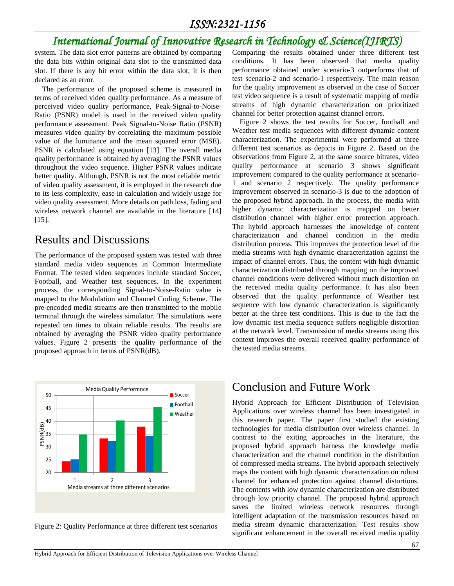# *International Journal of Innovative Research in Technology & Science(IJIRTS)*

system. The data slot error patterns are obtained by comparing the data bits within original data slot to the transmitted data slot. If there is any bit error within the data slot, it is then declared as an error.

The performance of the proposed scheme is measured in terms of received video quality performance. As a measure of perceived video quality performance, Peak-Signal-to-Noise-Ratio (PSNR) model is used in the received video quality performance assessment. Peak Signal-to-Noise Ratio (PSNR) measures video quality by correlating the maximum possible value of the luminance and the mean squared error (MSE). PSNR is calculated using equation [13]. The overall media quality performance is obtained by averaging the PSNR values throughout the video sequence. Higher PSNR values indicate better quality. Although, PSNR is not the most reliable metric of video quality assessment, it is employed in the research due to its less complexity, ease in calculation and widely usage for video quality assessment. More details on path loss, fading and wireless network channel are available in the literature [14] [15].

#### Results and Discussions

The performance of the proposed system was tested with three standard media video sequences in Common Intermediate Format. The tested video sequences include standard Soccer, Football, and Weather test sequences. In the experiment process, the corresponding Signal-to-Noise-Ratio value is mapped to the Modulation and Channel Coding Scheme. The pre-encoded media streams are then transmitted to the mobile terminal through the wireless simulator. The simulations were repeated ten times to obtain reliable results. The results are obtained by averaging the PSNR video quality performance values. Figure 2 presents the quality performance of the proposed approach in terms of PSNR(dB).



Figure 2: Quality Performance at three different test scenarios

Comparing the results obtained under three different test conditions. It has been observed that media quality performance obtained under scenario-3 outperforms that of test scenario-2 and scenario-1 respectively. The main reason for the quality improvement as observed in the case of Soccer test video sequence is a result of systematic mapping of media streams of high dynamic characterization on prioritized channel for better protection against channel errors.

Figure 2 shows the test results for Soccer, football and Weather test media sequences with different dynamic content characterization. The experimental were performed at three different test scenarios as depicts in Figure 2. Based on the observations from Figure 2, at the same source bitrates, video quality performance at scenario 3 shows significant improvement compared to the quality performance at scenario-1 and scenario 2 respectively. The quality performance improvement observed in scenario-3 is due to the adoption of the proposed hybrid approach. In the process, the media with higher dynamic characterization is mapped on better distribution channel with higher error protection approach. The hybrid approach harnesses the knowledge of content characterization and channel condition in the media distribution process. This improves the protection level of the media streams with high dynamic characterization against the impact of channel errors. Thus, the content with high dynamic characterization distributed through mapping on the improved channel conditions were delivered without much distortion on the received media quality performance. It has also been observed that the quality performance of Weather test sequence with low dynamic characterization is significantly better at the three test conditions. This is due to the fact the low dynamic test media sequence suffers negligible distortion at the network level. Transmission of media streams using this context improves the overall received quality performance of the tested media streams.

## Conclusion and Future Work

Hybrid Approach for Efficient Distribution of Television Applications over wireless channel has been investigated in this research paper. The paper first studied the existing technologies for media distribution over wireless channel. In contrast to the exiting approaches in the literature, the proposed hybrid approach harness the knowledge media characterization and the channel condition in the distribution of compressed media streams. The hybrid approach selectively maps the content with high dynamic characterization on robust channel for enhanced protection against channel distortions. The contents with low dynamic characterization are distributed through low priority channel. The proposed hybrid approach saves the limited wireless network resources through intelligent adaptation of the transmission resources based on media stream dynamic characterization. Test results show significant enhancement in the overall received media quality